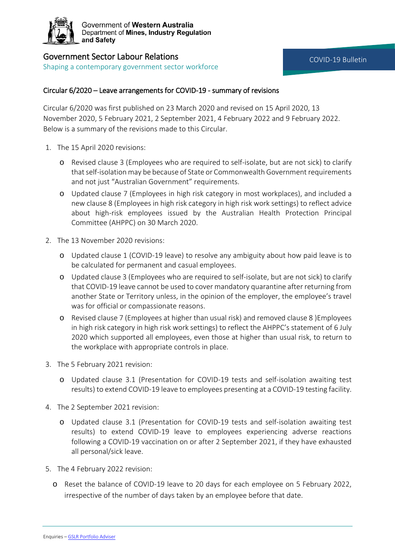

## Government Sector Labour Relations

Shaping a contemporary government sector workforce

## Circular 6/2020 – Leave arrangements for COVID-19 - summary of revisions

Circular 6/2020 was first published on 23 March 2020 and revised on 15 April 2020, 13 November 2020, 5 February 2021, 2 September 2021, 4 February 2022 and 9 February 2022. Below is a summary of the revisions made to this Circular.

- 1. The 15 April 2020 revisions:
	- o Revised clause 3 (Employees who are required to self-isolate, but are not sick) to clarify that self-isolation may be because of State or Commonwealth Government requirements and not just "Australian Government" requirements.
	- o Updated clause 7 (Employees in high risk category in most workplaces), and included a new clause 8 (Employees in high risk category in high risk work settings) to reflect advice about high-risk employees issued by the Australian Health Protection Principal Committee (AHPPC) on 30 March 2020.
- 2. The 13 November 2020 revisions:
	- o Updated clause 1 (COVID-19 leave) to resolve any ambiguity about how paid leave is to be calculated for permanent and casual employees.
	- o Updated clause 3 (Employees who are required to self-isolate, but are not sick) to clarify that COVID-19 leave cannot be used to cover mandatory quarantine after returning from another State or Territory unless, in the opinion of the employer, the employee's travel was for official or compassionate reasons.
	- o Revised clause 7 (Employees at higher than usual risk) and removed clause 8 )Employees in high risk category in high risk work settings) to reflect the AHPPC's statement of 6 July 2020 which supported all employees, even those at higher than usual risk, to return to the workplace with appropriate controls in place.
- 3. The 5 February 2021 revision:
	- o Updated clause 3.1 (Presentation for COVID-19 tests and self-isolation awaiting test results) to extend COVID-19 leave to employees presenting at a COVID-19 testing facility.
- 4. The 2 September 2021 revision:
	- o Updated clause 3.1 (Presentation for COVID-19 tests and self-isolation awaiting test results) to extend COVID-19 leave to employees experiencing adverse reactions following a COVID-19 vaccination on or after 2 September 2021, if they have exhausted all personal/sick leave.
- 5. The 4 February 2022 revision:
	- o Reset the balance of COVID-19 leave to 20 days for each employee on 5 February 2022, irrespective of the number of days taken by an employee before that date.